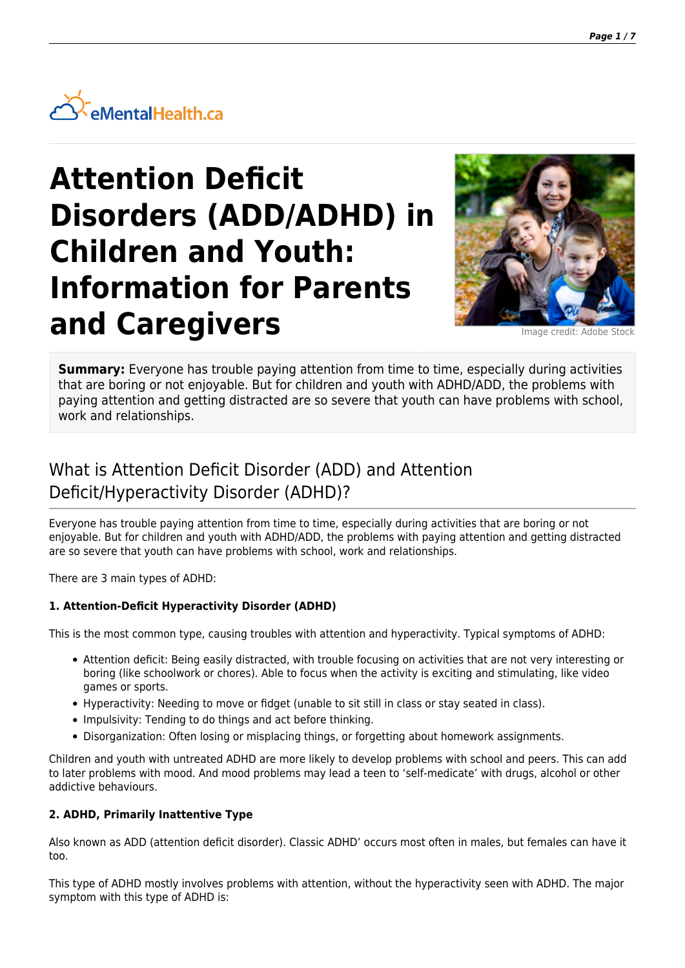

# **Attention Deficit Disorders (ADD/ADHD) in Children and Youth: Information for Parents** and Caregivers **Integral Caregivers**



**Summary:** Everyone has trouble paying attention from time to time, especially during activities that are boring or not enjoyable. But for children and youth with ADHD/ADD, the problems with paying attention and getting distracted are so severe that youth can have problems with school, work and relationships.

# What is Attention Deficit Disorder (ADD) and Attention Deficit/Hyperactivity Disorder (ADHD)?

Everyone has trouble paying attention from time to time, especially during activities that are boring or not enjoyable. But for children and youth with ADHD/ADD, the problems with paying attention and getting distracted are so severe that youth can have problems with school, work and relationships.

There are 3 main types of ADHD:

#### **1. Attention-Deficit Hyperactivity Disorder (ADHD)**

This is the most common type, causing troubles with attention and hyperactivity. Typical symptoms of ADHD:

- Attention deficit: Being easily distracted, with trouble focusing on activities that are not very interesting or boring (like schoolwork or chores). Able to focus when the activity is exciting and stimulating, like video games or sports.
- Hyperactivity: Needing to move or fidget (unable to sit still in class or stay seated in class).
- Impulsivity: Tending to do things and act before thinking.
- Disorganization: Often losing or misplacing things, or forgetting about homework assignments.

Children and youth with untreated ADHD are more likely to develop problems with school and peers. This can add to later problems with mood. And mood problems may lead a teen to 'self-medicate' with drugs, alcohol or other addictive behaviours.

#### **2. ADHD, Primarily Inattentive Type**

Also known as ADD (attention deficit disorder). Classic ADHD' occurs most often in males, but females can have it too.

This type of ADHD mostly involves problems with attention, without the hyperactivity seen with ADHD. The major symptom with this type of ADHD is: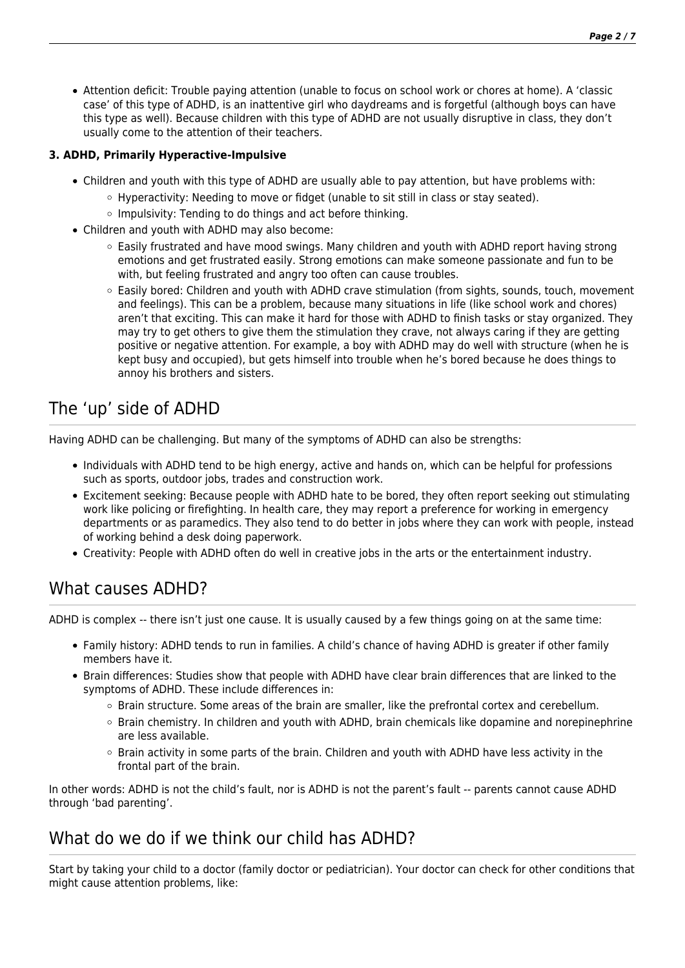Attention deficit: Trouble paying attention (unable to focus on school work or chores at home). A 'classic case' of this type of ADHD, is an inattentive girl who daydreams and is forgetful (although boys can have this type as well). Because children with this type of ADHD are not usually disruptive in class, they don't usually come to the attention of their teachers.

#### **3. ADHD, Primarily Hyperactive-Impulsive**

- Children and youth with this type of ADHD are usually able to pay attention, but have problems with:
	- $\circ$  Hyperactivity: Needing to move or fidget (unable to sit still in class or stay seated).
		- $\circ$  Impulsivity: Tending to do things and act before thinking.
- Children and youth with ADHD may also become:
	- Easily frustrated and have mood swings. Many children and youth with ADHD report having strong emotions and get frustrated easily. Strong emotions can make someone passionate and fun to be with, but feeling frustrated and angry too often can cause troubles.
	- Easily bored: Children and youth with ADHD crave stimulation (from sights, sounds, touch, movement and feelings). This can be a problem, because many situations in life (like school work and chores) aren't that exciting. This can make it hard for those with ADHD to finish tasks or stay organized. They may try to get others to give them the stimulation they crave, not always caring if they are getting positive or negative attention. For example, a boy with ADHD may do well with structure (when he is kept busy and occupied), but gets himself into trouble when he's bored because he does things to annoy his brothers and sisters.

# The 'up' side of ADHD

Having ADHD can be challenging. But many of the symptoms of ADHD can also be strengths:

- Individuals with ADHD tend to be high energy, active and hands on, which can be helpful for professions such as sports, outdoor jobs, trades and construction work.
- Excitement seeking: Because people with ADHD hate to be bored, they often report seeking out stimulating work like policing or firefighting. In health care, they may report a preference for working in emergency departments or as paramedics. They also tend to do better in jobs where they can work with people, instead of working behind a desk doing paperwork.
- Creativity: People with ADHD often do well in creative jobs in the arts or the entertainment industry.

# What causes ADHD?

ADHD is complex -- there isn't just one cause. It is usually caused by a few things going on at the same time:

- Family history: ADHD tends to run in families. A child's chance of having ADHD is greater if other family members have it.
- Brain differences: Studies show that people with ADHD have clear brain differences that are linked to the symptoms of ADHD. These include differences in:
	- $\circ$  Brain structure. Some areas of the brain are smaller, like the prefrontal cortex and cerebellum.
	- Brain chemistry. In children and youth with ADHD, brain chemicals like dopamine and norepinephrine are less available.
	- Brain activity in some parts of the brain. Children and youth with ADHD have less activity in the frontal part of the brain.

In other words: ADHD is not the child's fault, nor is ADHD is not the parent's fault -- parents cannot cause ADHD through 'bad parenting'.

# What do we do if we think our child has ADHD?

Start by taking your child to a doctor (family doctor or pediatrician). Your doctor can check for other conditions that might cause attention problems, like: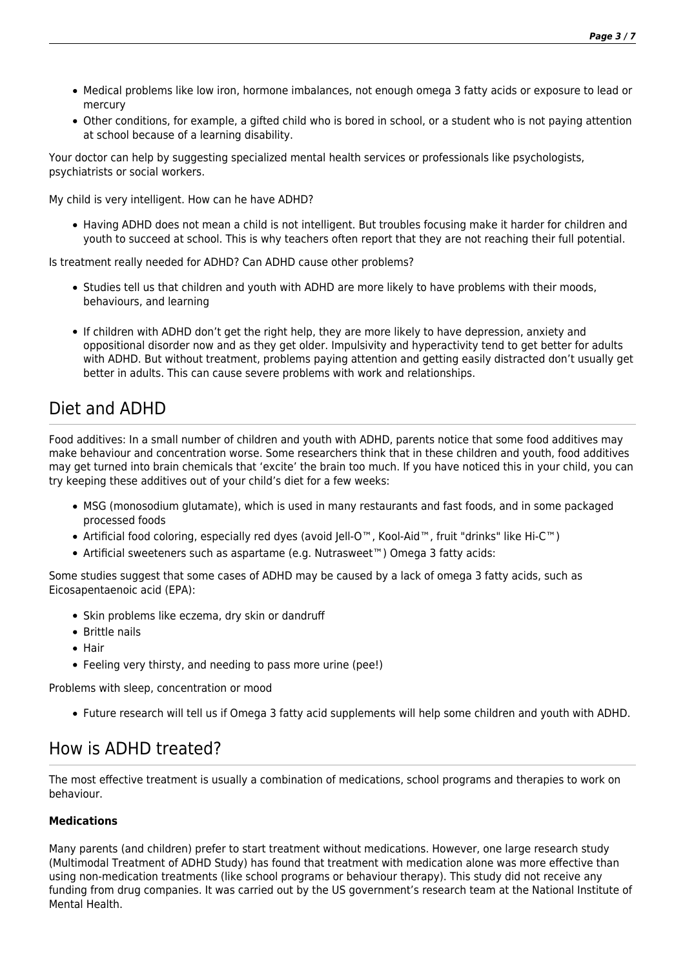- Medical problems like low iron, hormone imbalances, not enough omega 3 fatty acids or exposure to lead or mercury
- Other conditions, for example, a gifted child who is bored in school, or a student who is not paying attention at school because of a learning disability.

Your doctor can help by suggesting specialized mental health services or professionals like psychologists, psychiatrists or social workers.

My child is very intelligent. How can he have ADHD?

Having ADHD does not mean a child is not intelligent. But troubles focusing make it harder for children and youth to succeed at school. This is why teachers often report that they are not reaching their full potential.

Is treatment really needed for ADHD? Can ADHD cause other problems?

- Studies tell us that children and youth with ADHD are more likely to have problems with their moods, behaviours, and learning
- If children with ADHD don't get the right help, they are more likely to have depression, anxiety and oppositional disorder now and as they get older. Impulsivity and hyperactivity tend to get better for adults with ADHD. But without treatment, problems paying attention and getting easily distracted don't usually get better in adults. This can cause severe problems with work and relationships.

# Diet and ADHD

Food additives: In a small number of children and youth with ADHD, parents notice that some food additives may make behaviour and concentration worse. Some researchers think that in these children and youth, food additives may get turned into brain chemicals that 'excite' the brain too much. If you have noticed this in your child, you can try keeping these additives out of your child's diet for a few weeks:

- MSG (monosodium glutamate), which is used in many restaurants and fast foods, and in some packaged processed foods
- Artificial food coloring, especially red dyes (avoid Jell-O™, Kool-Aid™, fruit "drinks" like Hi-C™)
- Artificial sweeteners such as aspartame (e.g. Nutrasweet™) Omega 3 fatty acids:

Some studies suggest that some cases of ADHD may be caused by a lack of omega 3 fatty acids, such as Eicosapentaenoic acid (EPA):

- Skin problems like eczema, dry skin or dandruff
- Brittle nails
- Hair
- Feeling very thirsty, and needing to pass more urine (pee!)

Problems with sleep, concentration or mood

Future research will tell us if Omega 3 fatty acid supplements will help some children and youth with ADHD.

# How is ADHD treated?

The most effective treatment is usually a combination of medications, school programs and therapies to work on behaviour.

#### **Medications**

Many parents (and children) prefer to start treatment without medications. However, one large research study (Multimodal Treatment of ADHD Study) has found that treatment with medication alone was more effective than using non-medication treatments (like school programs or behaviour therapy). This study did not receive any funding from drug companies. It was carried out by the US government's research team at the National Institute of Mental Health.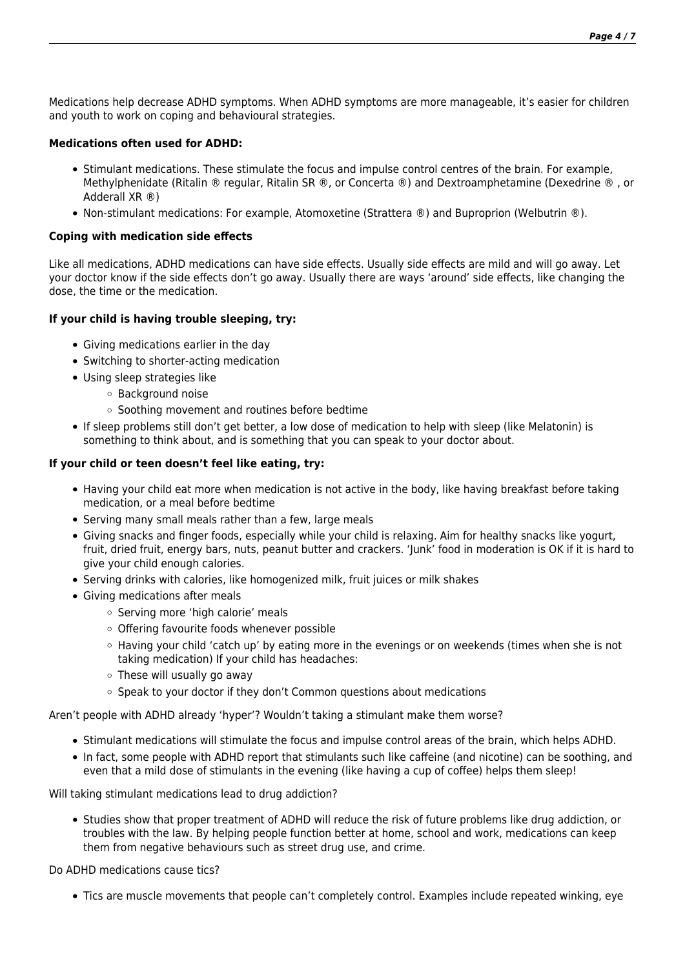Medications help decrease ADHD symptoms. When ADHD symptoms are more manageable, it's easier for children and youth to work on coping and behavioural strategies.

#### **Medications often used for ADHD:**

- Stimulant medications. These stimulate the focus and impulse control centres of the brain. For example, Methylphenidate (Ritalin ® regular, Ritalin SR ®, or Concerta ®) and Dextroamphetamine (Dexedrine ® , or Adderall XR ®)
- Non-stimulant medications: For example, Atomoxetine (Strattera ®) and Buproprion (Welbutrin ®).

#### **Coping with medication side effects**

Like all medications, ADHD medications can have side effects. Usually side effects are mild and will go away. Let your doctor know if the side effects don't go away. Usually there are ways 'around' side effects, like changing the dose, the time or the medication.

#### **If your child is having trouble sleeping, try:**

- Giving medications earlier in the day
- Switching to shorter-acting medication
- Using sleep strategies like
	- Background noise
	- $\circ$  Soothing movement and routines before bedtime
- If sleep problems still don't get better, a low dose of medication to help with sleep (like Melatonin) is something to think about, and is something that you can speak to your doctor about.

#### **If your child or teen doesn't feel like eating, try:**

- Having your child eat more when medication is not active in the body, like having breakfast before taking medication, or a meal before bedtime
- Serving many small meals rather than a few, large meals
- Giving snacks and finger foods, especially while your child is relaxing. Aim for healthy snacks like yogurt, fruit, dried fruit, energy bars, nuts, peanut butter and crackers. 'Junk' food in moderation is OK if it is hard to give your child enough calories.
- Serving drinks with calories, like homogenized milk, fruit juices or milk shakes
- Giving medications after meals
	- o Serving more 'high calorie' meals
	- Offering favourite foods whenever possible
	- $\circ$  Having your child 'catch up' by eating more in the evenings or on weekends (times when she is not taking medication) If your child has headaches:
	- These will usually go away
	- Speak to your doctor if they don't Common questions about medications

Aren't people with ADHD already 'hyper'? Wouldn't taking a stimulant make them worse?

- Stimulant medications will stimulate the focus and impulse control areas of the brain, which helps ADHD.
- In fact, some people with ADHD report that stimulants such like caffeine (and nicotine) can be soothing, and even that a mild dose of stimulants in the evening (like having a cup of coffee) helps them sleep!

Will taking stimulant medications lead to drug addiction?

Studies show that proper treatment of ADHD will reduce the risk of future problems like drug addiction, or troubles with the law. By helping people function better at home, school and work, medications can keep them from negative behaviours such as street drug use, and crime.

Do ADHD medications cause tics?

Tics are muscle movements that people can't completely control. Examples include repeated winking, eye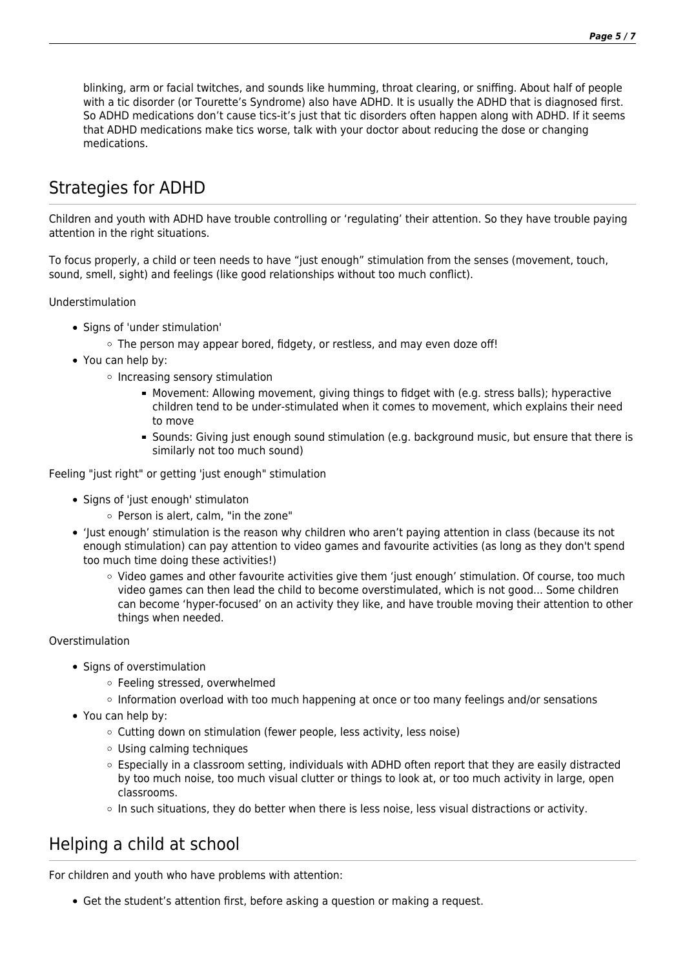blinking, arm or facial twitches, and sounds like humming, throat clearing, or sniffing. About half of people with a tic disorder (or Tourette's Syndrome) also have ADHD. It is usually the ADHD that is diagnosed first. So ADHD medications don't cause tics-it's just that tic disorders often happen along with ADHD. If it seems that ADHD medications make tics worse, talk with your doctor about reducing the dose or changing medications.

# Strategies for ADHD

Children and youth with ADHD have trouble controlling or 'regulating' their attention. So they have trouble paying attention in the right situations.

To focus properly, a child or teen needs to have "just enough" stimulation from the senses (movement, touch, sound, smell, sight) and feelings (like good relationships without too much conflict).

Understimulation

- Signs of 'under stimulation'
	- The person may appear bored, fidgety, or restless, and may even doze off!
- You can help by:
	- $\circ$  Increasing sensory stimulation
		- Movement: Allowing movement, giving things to fidget with (e.g. stress balls); hyperactive children tend to be under-stimulated when it comes to movement, which explains their need to move
		- Sounds: Giving just enough sound stimulation (e.g. background music, but ensure that there is similarly not too much sound)

Feeling "just right" or getting 'just enough" stimulation

- Signs of 'just enough' stimulaton
	- Person is alert, calm, "in the zone"
- 'Just enough' stimulation is the reason why children who aren't paying attention in class (because its not enough stimulation) can pay attention to video games and favourite activities (as long as they don't spend too much time doing these activities!)
	- Video games and other favourite activities give them 'just enough' stimulation. Of course, too much video games can then lead the child to become overstimulated, which is not good... Some children can become 'hyper-focused' on an activity they like, and have trouble moving their attention to other things when needed.

#### Overstimulation

- Signs of overstimulation
	- Feeling stressed, overwhelmed
	- $\circ$  Information overload with too much happening at once or too many feelings and/or sensations
- You can help by:
	- $\circ$  Cutting down on stimulation (fewer people, less activity, less noise)
	- Using calming techniques
	- $\circ$  Especially in a classroom setting, individuals with ADHD often report that they are easily distracted by too much noise, too much visual clutter or things to look at, or too much activity in large, open classrooms.
	- $\circ$  In such situations, they do better when there is less noise, less visual distractions or activity.

# Helping a child at school

For children and youth who have problems with attention:

Get the student's attention first, before asking a question or making a request.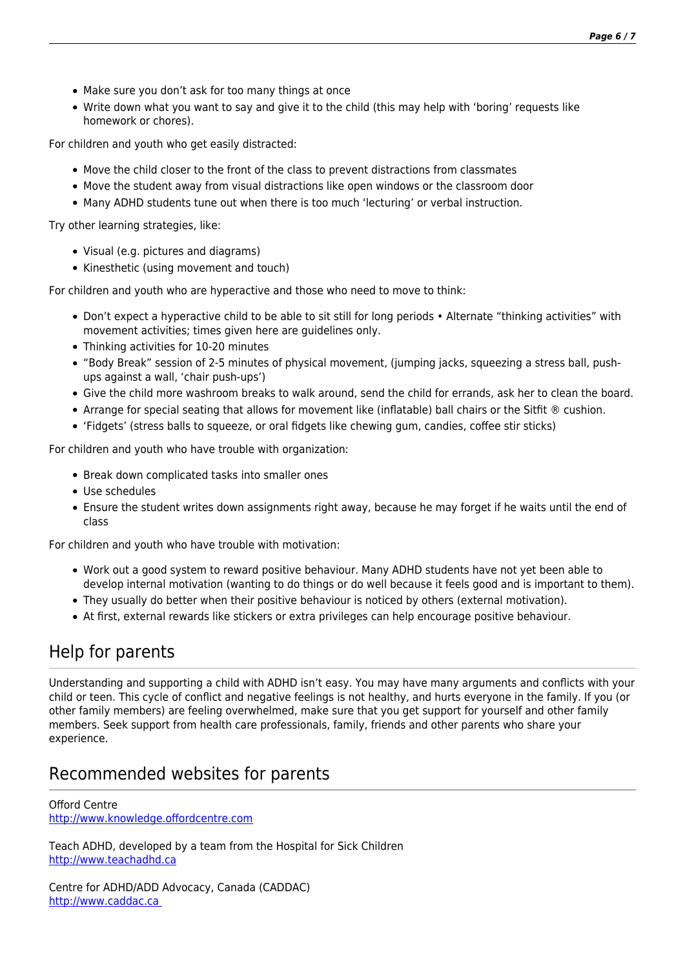- Make sure you don't ask for too many things at once
- Write down what you want to say and give it to the child (this may help with 'boring' requests like homework or chores).

For children and youth who get easily distracted:

- $\bullet$  Move the child closer to the front of the class to prevent distractions from classmates
- Move the student away from visual distractions like open windows or the classroom door
- Many ADHD students tune out when there is too much 'lecturing' or verbal instruction.

Try other learning strategies, like:

- Visual (e.g. pictures and diagrams)
- Kinesthetic (using movement and touch)

For children and youth who are hyperactive and those who need to move to think:

- Don't expect a hyperactive child to be able to sit still for long periods Alternate "thinking activities" with movement activities; times given here are guidelines only.
- Thinking activities for 10-20 minutes
- "Body Break" session of 2-5 minutes of physical movement, (jumping jacks, squeezing a stress ball, pushups against a wall, 'chair push-ups')
- Give the child more washroom breaks to walk around, send the child for errands, ask her to clean the board.
- Arrange for special seating that allows for movement like (inflatable) ball chairs or the Sitfit ® cushion.
- 'Fidgets' (stress balls to squeeze, or oral fidgets like chewing gum, candies, coffee stir sticks)

For children and youth who have trouble with organization:

- Break down complicated tasks into smaller ones
- Use schedules
- Ensure the student writes down assignments right away, because he may forget if he waits until the end of class

For children and youth who have trouble with motivation:

- Work out a good system to reward positive behaviour. Many ADHD students have not yet been able to develop internal motivation (wanting to do things or do well because it feels good and is important to them).
- They usually do better when their positive behaviour is noticed by others (external motivation).
- At first, external rewards like stickers or extra privileges can help encourage positive behaviour.

# Help for parents

Understanding and supporting a child with ADHD isn't easy. You may have many arguments and conflicts with your child or teen. This cycle of conflict and negative feelings is not healthy, and hurts everyone in the family. If you (or other family members) are feeling overwhelmed, make sure that you get support for yourself and other family members. Seek support from health care professionals, family, friends and other parents who share your experience.

# Recommended websites for parents

Offord Centre [http://www.knowledge.offordcentre.com](http://www.knowledge.offordcentre.com/)

Teach ADHD, developed by a team from the Hospital for Sick Children [http://www.teachadhd.ca](http://www.teachadhd.ca/)

Centre for ADHD/ADD Advocacy, Canada (CADDAC) [http://www.caddac.ca](http://www.caddac.ca/)